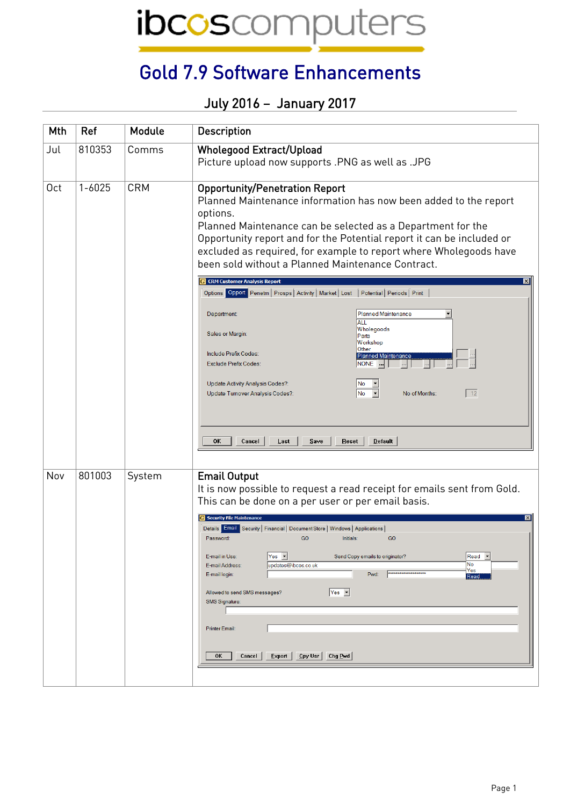ibcoscomputers

## Gold 7.9 Software Enhancements

## July 2016 – January 2017

| Mth             | Ref        | Module     | Description                                                                                                                                                                                                                                                                                                                                                                                                                                                                                                                                                                                                                                                                                                                                                                                                                                                                                                     |
|-----------------|------------|------------|-----------------------------------------------------------------------------------------------------------------------------------------------------------------------------------------------------------------------------------------------------------------------------------------------------------------------------------------------------------------------------------------------------------------------------------------------------------------------------------------------------------------------------------------------------------------------------------------------------------------------------------------------------------------------------------------------------------------------------------------------------------------------------------------------------------------------------------------------------------------------------------------------------------------|
| Jul             | 810353     | Comms      | <b>Wholegood Extract/Upload</b><br>Picture upload now supports .PNG as well as .JPG                                                                                                                                                                                                                                                                                                                                                                                                                                                                                                                                                                                                                                                                                                                                                                                                                             |
| 0 <sub>ct</sub> | $1 - 6025$ | <b>CRM</b> | <b>Opportunity/Penetration Report</b><br>Planned Maintenance information has now been added to the report<br>options.<br>Planned Maintenance can be selected as a Department for the<br>Opportunity report and for the Potential report it can be included or<br>excluded as required, for example to report where Wholegoods have<br>been sold without a Planned Maintenance Contract.<br><b>CRM Customer Analysis Report</b><br>Options Opport Penetrn   Prosps   Activity   Market   Lost   Potential   Periods   Print<br><b>Planned Maintenance</b><br>Department<br>ALL<br>Wholegoods<br>Sales or Margin:<br>Parts<br>Workshop<br>Other<br>Include Prefix Codes:<br>Planned Maintenance<br><b>Exclude Prefix Codes:</b><br>NONE<br>Update Activity Analysis Codes?:<br>No<br>12<br>No.<br>Update Turnover Analysis Codes?:<br>No of Months:<br>OK<br>Cancel<br>Last<br>$S$ ave<br>Reset<br><b>Default</b> |
| Nov             | 801003     | System     | <b>Email Output</b><br>It is now possible to request a read receipt for emails sent from Gold.<br>This can be done on a per user or per email basis.<br>Security File Maintenance<br>Details Email Security   Financial   Document Store   Windows   Applications<br>GO<br>GO<br>Password:<br>Initials:<br>$Yes -$<br>Read <b>v</b><br>E-mail in Use:<br>Send Copy emails to originator?<br>No<br>E-mail Address:<br>updates@ibcos.co.uk<br>Yes<br>********************<br>E-mail login:<br>Pwd:<br>Read<br>$Yes$ $\blacktriangleright$<br>Allowed to send SMS messages?<br><b>SMS Signature:</b><br><b>Printer Email:</b><br>Export<br><u>  C</u> py Usr   Chg <u>P</u> wd  <br>0K<br>Cancel                                                                                                                                                                                                                   |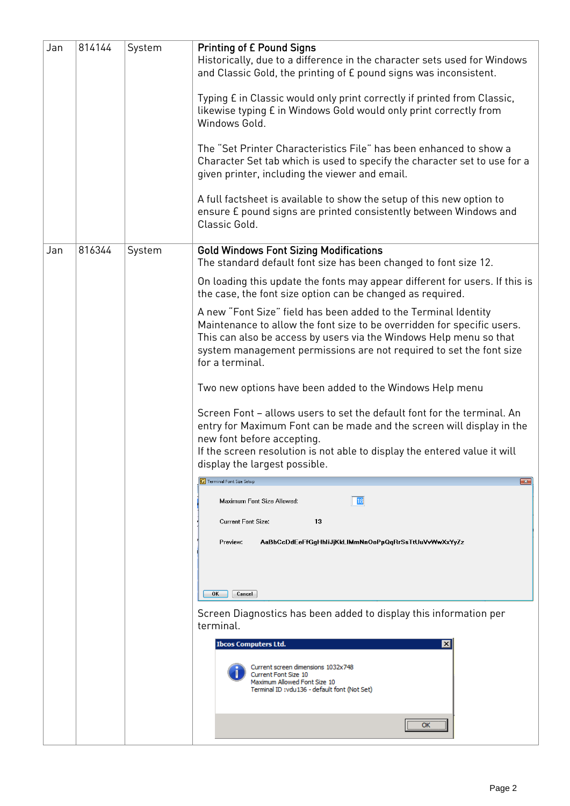| Jan | 814144 | System | <b>Printing of £ Pound Signs</b><br>Historically, due to a difference in the character sets used for Windows<br>and Classic Gold, the printing of E pound signs was inconsistent.<br>Typing E in Classic would only print correctly if printed from Classic,<br>likewise typing E in Windows Gold would only print correctly from<br>Windows Gold.<br>The "Set Printer Characteristics File" has been enhanced to show a<br>Character Set tab which is used to specify the character set to use for a<br>given printer, including the viewer and email.<br>A full factsheet is available to show the setup of this new option to<br>ensure £ pound signs are printed consistently between Windows and<br>Classic Gold. |
|-----|--------|--------|------------------------------------------------------------------------------------------------------------------------------------------------------------------------------------------------------------------------------------------------------------------------------------------------------------------------------------------------------------------------------------------------------------------------------------------------------------------------------------------------------------------------------------------------------------------------------------------------------------------------------------------------------------------------------------------------------------------------|
| Jan | 816344 | System | <b>Gold Windows Font Sizing Modifications</b><br>The standard default font size has been changed to font size 12.                                                                                                                                                                                                                                                                                                                                                                                                                                                                                                                                                                                                      |
|     |        |        | On loading this update the fonts may appear different for users. If this is<br>the case, the font size option can be changed as required.                                                                                                                                                                                                                                                                                                                                                                                                                                                                                                                                                                              |
|     |        |        | A new "Font Size" field has been added to the Terminal Identity<br>Maintenance to allow the font size to be overridden for specific users.<br>This can also be access by users via the Windows Help menu so that<br>system management permissions are not required to set the font size<br>for a terminal.                                                                                                                                                                                                                                                                                                                                                                                                             |
|     |        |        | Two new options have been added to the Windows Help menu                                                                                                                                                                                                                                                                                                                                                                                                                                                                                                                                                                                                                                                               |
|     |        |        | Screen Font - allows users to set the default font for the terminal. An<br>entry for Maximum Font can be made and the screen will display in the<br>new font before accepting.<br>If the screen resolution is not able to display the entered value it will<br>display the largest possible.                                                                                                                                                                                                                                                                                                                                                                                                                           |
|     |        |        | <b>G</b> Terminal Font Size Setup<br>$-23$                                                                                                                                                                                                                                                                                                                                                                                                                                                                                                                                                                                                                                                                             |
|     |        |        | Maximum Font Size Allowed:<br>18<br><b>Current Font Size:</b><br>13                                                                                                                                                                                                                                                                                                                                                                                                                                                                                                                                                                                                                                                    |
|     |        |        | Preview.<br>AaBbCcDdEeFfGgHhliJjKkLlMmNnOoPpQqRrSsTtUuVvWwXxYyZz                                                                                                                                                                                                                                                                                                                                                                                                                                                                                                                                                                                                                                                       |
|     |        |        | OK<br>Cancel                                                                                                                                                                                                                                                                                                                                                                                                                                                                                                                                                                                                                                                                                                           |
|     |        |        | Screen Diagnostics has been added to display this information per<br>terminal.                                                                                                                                                                                                                                                                                                                                                                                                                                                                                                                                                                                                                                         |
|     |        |        | <b>Ibcos Computers Ltd.</b><br>$\times$<br>Current screen dimensions 1032x748<br>Current Font Size 10<br>Maximum Allowed Font Size 10<br>Terminal ID:vdu136 - default font (Not Set)<br>OK                                                                                                                                                                                                                                                                                                                                                                                                                                                                                                                             |
|     |        |        |                                                                                                                                                                                                                                                                                                                                                                                                                                                                                                                                                                                                                                                                                                                        |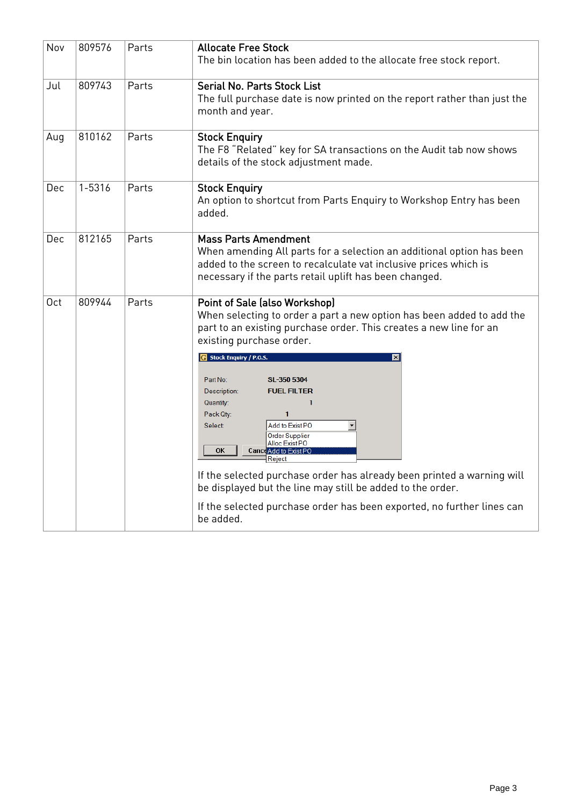| Nov             | 809576 | Parts | <b>Allocate Free Stock</b><br>The bin location has been added to the allocate free stock report.                                                                                                                                                                                                                                                                                                                                                                                                                                                                                                                                                                                                                             |
|-----------------|--------|-------|------------------------------------------------------------------------------------------------------------------------------------------------------------------------------------------------------------------------------------------------------------------------------------------------------------------------------------------------------------------------------------------------------------------------------------------------------------------------------------------------------------------------------------------------------------------------------------------------------------------------------------------------------------------------------------------------------------------------------|
| Jul             | 809743 | Parts | <b>Serial No. Parts Stock List</b><br>The full purchase date is now printed on the report rather than just the<br>month and year.                                                                                                                                                                                                                                                                                                                                                                                                                                                                                                                                                                                            |
| Aug             | 810162 | Parts | <b>Stock Enquiry</b><br>The F8 "Related" key for SA transactions on the Audit tab now shows<br>details of the stock adjustment made.                                                                                                                                                                                                                                                                                                                                                                                                                                                                                                                                                                                         |
| Dec             | 1-5316 | Parts | <b>Stock Enquiry</b><br>An option to shortcut from Parts Enquiry to Workshop Entry has been<br>added.                                                                                                                                                                                                                                                                                                                                                                                                                                                                                                                                                                                                                        |
| Dec             | 812165 | Parts | <b>Mass Parts Amendment</b><br>When amending All parts for a selection an additional option has been<br>added to the screen to recalculate vat inclusive prices which is<br>necessary if the parts retail uplift has been changed.                                                                                                                                                                                                                                                                                                                                                                                                                                                                                           |
| 0 <sub>ct</sub> | 809944 | Parts | Point of Sale (also Workshop)<br>When selecting to order a part a new option has been added to add the<br>part to an existing purchase order. This creates a new line for an<br>existing purchase order.<br>Stock Enquiry / P.O.S.<br>⊠<br>Part No:<br>SL-350 5304<br><b>FUEL FILTER</b><br>Description:<br>Quantity:<br>1<br>Pack Qty:<br>$\mathbf{1}$<br>Add to Exist PO<br><b>Select</b><br><b>Order Supplier</b><br>Alloc Exist PO<br><b>OK</b><br><b>Cance Add to Exist PO</b><br>Reiect<br>If the selected purchase order has already been printed a warning will<br>be displayed but the line may still be added to the order.<br>If the selected purchase order has been exported, no further lines can<br>be added. |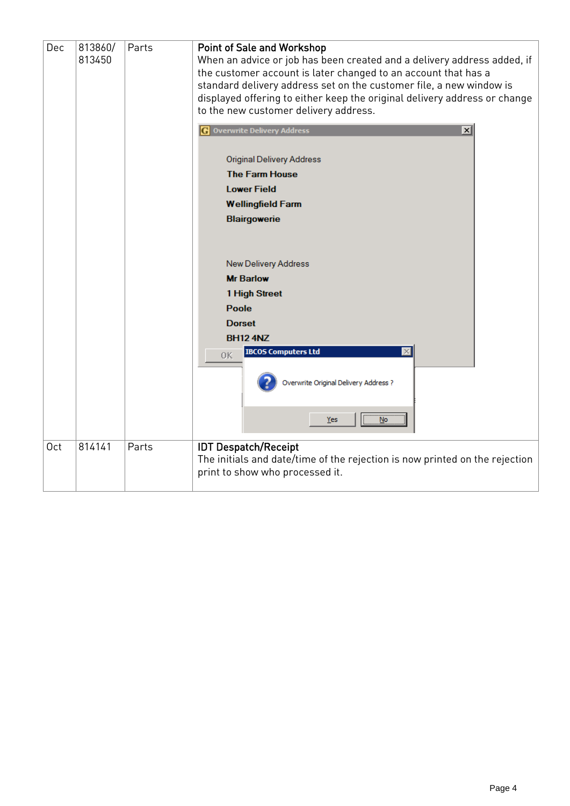| Dec<br>813860/<br>813450 |        | Parts | <b>Point of Sale and Workshop</b><br>When an advice or job has been created and a delivery address added, if<br>the customer account is later changed to an account that has a<br>standard delivery address set on the customer file, a new window is<br>displayed offering to either keep the original delivery address or change<br>to the new customer delivery address. |
|--------------------------|--------|-------|-----------------------------------------------------------------------------------------------------------------------------------------------------------------------------------------------------------------------------------------------------------------------------------------------------------------------------------------------------------------------------|
|                          |        |       | <b>Overwrite Delivery Address</b><br>$\vert x \vert$<br>GI                                                                                                                                                                                                                                                                                                                  |
|                          |        |       | <b>Original Delivery Address</b><br><b>The Farm House</b><br><b>Lower Field</b><br><b>Wellingfield Farm</b><br><b>Blairgowerie</b>                                                                                                                                                                                                                                          |
|                          |        |       | New Delivery Address<br><b>Mr Barlow</b><br>1 High Street<br><b>Poole</b><br><b>Dorset</b><br><b>BH12 4NZ</b><br><b>IBCOS Computers Ltd</b><br>0K<br>Overwrite Original Delivery Address ?                                                                                                                                                                                  |
|                          |        |       | <b>No</b><br>Yes                                                                                                                                                                                                                                                                                                                                                            |
| 0 <sub>ct</sub>          | 814141 | Parts | <b>IDT Despatch/Receipt</b><br>The initials and date/time of the rejection is now printed on the rejection<br>print to show who processed it.                                                                                                                                                                                                                               |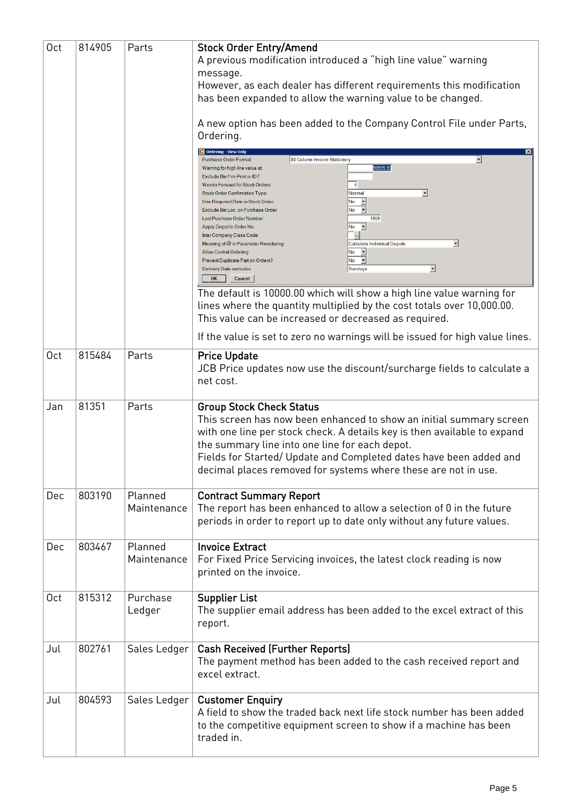| 0 <sub>ct</sub> | 814905 | Parts                  | <b>Stock Order Entry/Amend</b><br>A previous modification introduced a "high line value" warning<br>message.<br>However, as each dealer has different requirements this modification<br>has been expanded to allow the warning value to be changed.<br>A new option has been added to the Company Control File under Parts,<br>Ordering.<br>Ordering - View Only<br>$\overline{\phantom{a}}$<br>80 Column Invoice Stationery<br>Purchase Order Format<br>99999.99<br>Warning for high line value at<br>Exclude Bin Frm Print or IDT<br>$\overline{4}$<br>Weeks Forward for Stock Orders:<br>Normal<br>$\vert \cdot \vert$<br>Stock Order Confirmation Type:<br>No<br>$\overline{z}$<br>Use Required Date in Stock Order:<br>$No - \blacktriangleright$<br>Exclude Bin Loc. on Purchase Order:<br>1959<br>Last Purchase Order Number:<br>$\overline{\phantom{a}}$<br>No<br>Apply Depot to Order No:<br>Inter Company Class Code:<br>▾╎<br><b>Calculate Individual Depots</b><br>Meaning of @ in Parameter Reordering:<br>$\overline{\phantom{a}}$<br>No<br><b>Allow Central Ordering:</b><br>$No$ $\blacktriangleright$<br>Prevent Duplicate Part on Orders? |
|-----------------|--------|------------------------|-------------------------------------------------------------------------------------------------------------------------------------------------------------------------------------------------------------------------------------------------------------------------------------------------------------------------------------------------------------------------------------------------------------------------------------------------------------------------------------------------------------------------------------------------------------------------------------------------------------------------------------------------------------------------------------------------------------------------------------------------------------------------------------------------------------------------------------------------------------------------------------------------------------------------------------------------------------------------------------------------------------------------------------------------------------------------------------------------------------------------------------------------------------|
|                 |        |                        | Sundays<br>▼<br>Delivery Date excludes:<br>OK<br>Cancel                                                                                                                                                                                                                                                                                                                                                                                                                                                                                                                                                                                                                                                                                                                                                                                                                                                                                                                                                                                                                                                                                                     |
|                 |        |                        | The default is 10000.00 which will show a high line value warning for<br>lines where the quantity multiplied by the cost totals over 10,000.00.<br>This value can be increased or decreased as required.                                                                                                                                                                                                                                                                                                                                                                                                                                                                                                                                                                                                                                                                                                                                                                                                                                                                                                                                                    |
|                 |        |                        | If the value is set to zero no warnings will be issued for high value lines.                                                                                                                                                                                                                                                                                                                                                                                                                                                                                                                                                                                                                                                                                                                                                                                                                                                                                                                                                                                                                                                                                |
| 0 <sub>ct</sub> | 815484 | Parts                  | <b>Price Update</b><br>JCB Price updates now use the discount/surcharge fields to calculate a<br>net cost.                                                                                                                                                                                                                                                                                                                                                                                                                                                                                                                                                                                                                                                                                                                                                                                                                                                                                                                                                                                                                                                  |
| Jan             | 81351  | Parts                  | <b>Group Stock Check Status</b><br>This screen has now been enhanced to show an initial summary screen<br>with one line per stock check. A details key is then available to expand<br>the summary line into one line for each depot.<br>Fields for Started/ Update and Completed dates have been added and<br>decimal places removed for systems where these are not in use.                                                                                                                                                                                                                                                                                                                                                                                                                                                                                                                                                                                                                                                                                                                                                                                |
| Dec             | 803190 | Planned<br>Maintenance | <b>Contract Summary Report</b><br>The report has been enhanced to allow a selection of 0 in the future<br>periods in order to report up to date only without any future values.                                                                                                                                                                                                                                                                                                                                                                                                                                                                                                                                                                                                                                                                                                                                                                                                                                                                                                                                                                             |
| Dec             | 803467 | Planned<br>Maintenance | <b>Invoice Extract</b><br>For Fixed Price Servicing invoices, the latest clock reading is now<br>printed on the invoice.                                                                                                                                                                                                                                                                                                                                                                                                                                                                                                                                                                                                                                                                                                                                                                                                                                                                                                                                                                                                                                    |
| 0 <sub>ct</sub> | 815312 | Purchase<br>Ledger     | <b>Supplier List</b><br>The supplier email address has been added to the excel extract of this<br>report.                                                                                                                                                                                                                                                                                                                                                                                                                                                                                                                                                                                                                                                                                                                                                                                                                                                                                                                                                                                                                                                   |
| Jul             | 802761 | Sales Ledger           | <b>Cash Received (Further Reports)</b><br>The payment method has been added to the cash received report and<br>excel extract.                                                                                                                                                                                                                                                                                                                                                                                                                                                                                                                                                                                                                                                                                                                                                                                                                                                                                                                                                                                                                               |
| Jul             | 804593 | Sales Ledger           | <b>Customer Enquiry</b><br>A field to show the traded back next life stock number has been added<br>to the competitive equipment screen to show if a machine has been<br>traded in.                                                                                                                                                                                                                                                                                                                                                                                                                                                                                                                                                                                                                                                                                                                                                                                                                                                                                                                                                                         |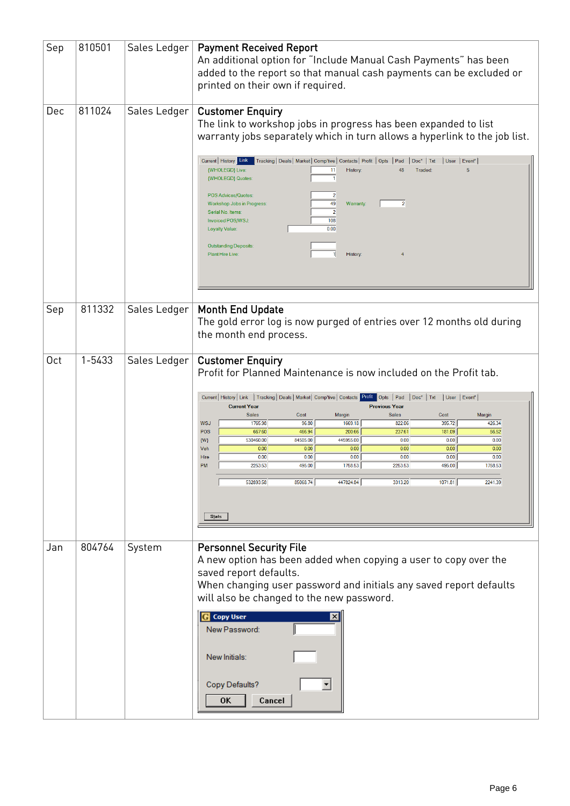| Sep             | 810501 | Sales Ledger | <b>Payment Received Report</b><br>An additional option for "Include Manual Cash Payments" has been<br>added to the report so that manual cash payments can be excluded or<br>printed on their own if required. |
|-----------------|--------|--------------|----------------------------------------------------------------------------------------------------------------------------------------------------------------------------------------------------------------|
| Dec             | 811024 | Sales Ledger | <b>Customer Enquiry</b><br>The link to workshop jobs in progress has been expanded to list<br>warranty jobs separately which in turn allows a hyperlink to the job list.                                       |
|                 |        |              | Current   History Link   Tracking   Deals   Market   Comp'tive   Contacts   Profit   Opts   Pad<br>$Doc*$ Txt<br>User   Event*<br>{WHOLEGD} Live:<br>11<br>History:<br>48<br>Traded:<br>5<br>{WHOLEGD} Quotes: |
|                 |        |              | POS Advices/Quotes:<br>49<br>$\overline{2}$<br>Warranty:<br>Workshop Jobs in Progress:<br>$\overline{2}$<br>Serial No. Items:<br>108<br>Invoiced POS/WSJ:<br>0.00<br><b>Loyalty Value:</b>                     |
|                 |        |              | <b>Outstanding Deposits:</b><br>Plant Hire Live:<br>History:                                                                                                                                                   |
| Sep             | 811332 | Sales Ledger | <b>Month End Update</b><br>The gold error log is now purged of entries over 12 months old during<br>the month end process.                                                                                     |
| 0 <sub>ct</sub> | 1-5433 | Sales Ledger | <b>Customer Enquiry</b><br>Profit for Planned Maintenance is now included on the Profit tab.                                                                                                                   |
|                 |        |              | Current   History   Link   Tracking   Deals   Market   Comp'tive   Contacts   Profit   Opts   Pad   Doc*   Txt<br>User   Event*<br><b>Current Year</b><br><b>Previous Year</b>                                 |
|                 |        |              | <b>Sales</b><br>Margin<br><b>Sales</b><br>Cost<br>Cost<br>Margin<br>96.80<br>395.72<br><b>WSJ</b><br>1765.98<br>1669.18<br>822.06<br>426.34<br>POS<br>56.52<br>667.60<br>466.94<br>200.66<br>237.61<br>181.09  |
|                 |        |              | 530460.00<br>84505.00<br>445955.00<br>0.00<br>0.00<br>0.00<br>${W}$<br>0.00<br>0.00<br>0.00<br>0.00<br>Veh<br>0.00<br>0.00<br>0.00<br>0.00<br>0.00<br>0.00<br>0.00<br>0.00<br>Hire                             |
|                 |        |              | 1758.53<br>2253.53<br>495.00<br>2253.53<br>495.00<br>1758.53<br>PM                                                                                                                                             |
|                 |        |              | 447824.84<br>85068.74<br>3313.20<br>1071.81<br>2241.39<br>532893.58                                                                                                                                            |
|                 |        |              | Stats                                                                                                                                                                                                          |
| Jan             | 804764 | System       | <b>Personnel Security File</b>                                                                                                                                                                                 |
|                 |        |              | A new option has been added when copying a user to copy over the                                                                                                                                               |
|                 |        |              | saved report defaults.<br>When changing user password and initials any saved report defaults                                                                                                                   |
|                 |        |              | will also be changed to the new password.                                                                                                                                                                      |
|                 |        |              | <b>Copy User</b><br>$\vert x \vert$<br>New Password:                                                                                                                                                           |
|                 |        |              | New Initials:                                                                                                                                                                                                  |
|                 |        |              | Copy Defaults?<br>0K<br>Cancel                                                                                                                                                                                 |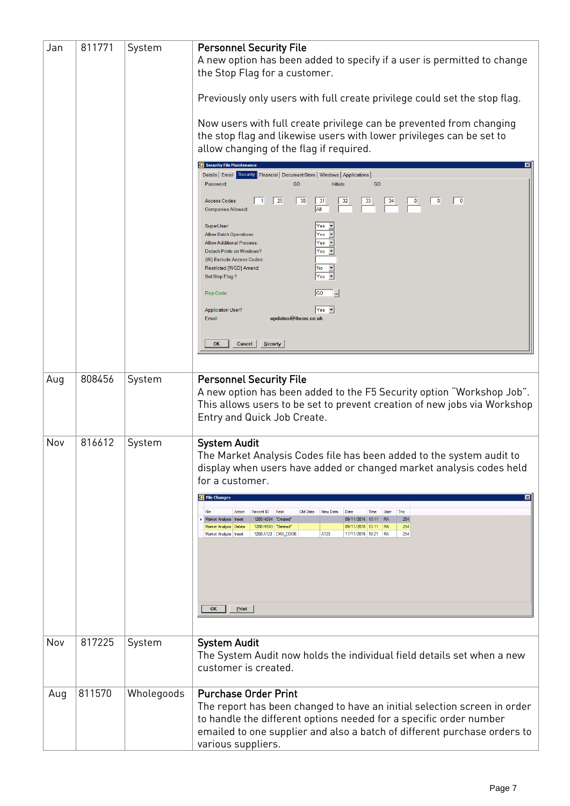| Jan | 811771 | System     | <b>Personnel Security File</b><br>A new option has been added to specify if a user is permitted to change<br>the Stop Flag for a customer.                                                                                                                |
|-----|--------|------------|-----------------------------------------------------------------------------------------------------------------------------------------------------------------------------------------------------------------------------------------------------------|
|     |        |            | Previously only users with full create privilege could set the stop flag.                                                                                                                                                                                 |
|     |        |            | Now users with full create privilege can be prevented from changing<br>the stop flag and likewise users with lower privileges can be set to<br>allow changing of the flag if required.                                                                    |
|     |        |            | <b>6</b> Security File Maintenand                                                                                                                                                                                                                         |
|     |        |            | Details   Email   Security   Financial   Document Store   Windows   Applications  <br>GO<br>GO<br>Password:<br>Initials:                                                                                                                                  |
|     |        |            | $\vert$ 25<br> 30<br>31<br>$\overline{0}$<br>Access Codes:<br>l 1<br>32<br>33<br>$\mathbf 0$<br>34<br><b>AII</b><br><b>Companies Allowed:</b>                                                                                                             |
|     |        |            | SuperUser.<br>Yes<br>Yes<br>Allow Batch Operations:<br>Yes -<br><b>Allow Additional Process:</b><br>$Yes -$<br>Detach Prints on Windows?<br>{W} Exclude Access Codes:<br>$No$ $\rightarrow$<br>Restricted {WGD} Amend:                                    |
|     |        |            | $Yes -$<br>Set Stop Flag?                                                                                                                                                                                                                                 |
|     |        |            | <b>GO</b><br>Rep Code:<br>$\cdot$                                                                                                                                                                                                                         |
|     |        |            | $Yes -$<br><b>Application User?</b><br>updates@ibcos.co.uk<br>Email:                                                                                                                                                                                      |
|     |        |            | Section 22<br>0K<br>Cancel                                                                                                                                                                                                                                |
|     |        |            |                                                                                                                                                                                                                                                           |
| Aug | 808456 | System     | <b>Personnel Security File</b>                                                                                                                                                                                                                            |
|     |        |            | A new option has been added to the F5 Security option "Workshop Job".<br>This allows users to be set to prevent creation of new jobs via Workshop<br>Entry and Quick Job Create.                                                                          |
| Nov | 816612 | System     | <b>System Audit</b><br>The Market Analysis Codes file has been added to the system audit to<br>display when users have added or changed market analysis codes held<br>for a customer.                                                                     |
|     |        |            | <b>E</b> File Changes<br>Record ID<br>Field<br>Old Data<br>New Data<br>Tno<br>Action<br>Date<br>Time<br>User                                                                                                                                              |
|     |        |            | 1200 HS04 "Created"<br>09/11/2016 13:11 RA<br>254<br><b>Market Analysis Insert</b><br>254<br>Market Analysis Delete<br>1200 HS03 PDeleted*<br>09/11/2016 13:11 RA<br>A123<br>254<br>1200 A123 CMA_CODE<br>17/11/2016 10:21 RA<br>Market Analysis   Insert |
|     |        |            |                                                                                                                                                                                                                                                           |
|     |        |            | OK<br>Print                                                                                                                                                                                                                                               |
| Nov | 817225 |            |                                                                                                                                                                                                                                                           |
|     |        | System     | <b>System Audit</b><br>The System Audit now holds the individual field details set when a new<br>customer is created.                                                                                                                                     |
| Aug | 811570 | Wholegoods | <b>Purchase Order Print</b>                                                                                                                                                                                                                               |
|     |        |            | The report has been changed to have an initial selection screen in order<br>to handle the different options needed for a specific order number<br>emailed to one supplier and also a batch of different purchase orders to<br>various suppliers.          |